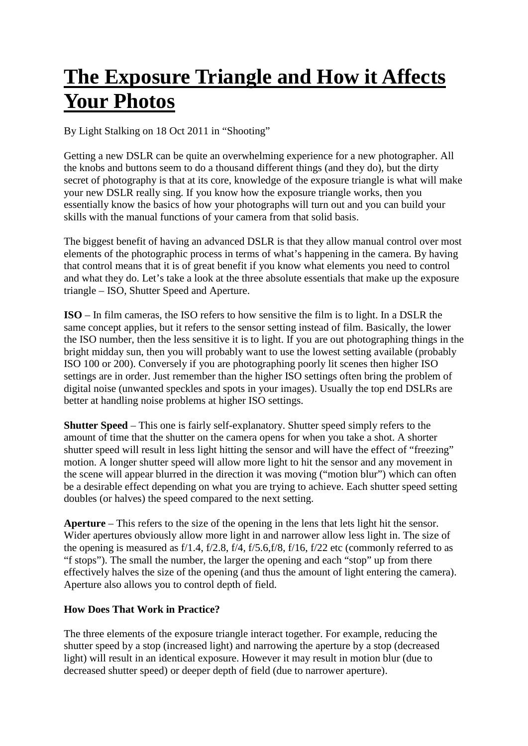## **[The Exposure Triangle and How it Affects](http://www.lightstalking.com/exposure-triangle)  [Your Photos](http://www.lightstalking.com/exposure-triangle)**

By [Light Stalking](http://www.lightstalking.com/author/admin) on 18 Oct 2011 in ["Shooting"](http://www.lightstalking.com/category/shooting)

Getting a new DSLR can be quite an overwhelming experience for a new photographer. All the knobs and buttons seem to do a thousand different things (and they do), but the dirty secret of photography is that at its core, knowledge of the exposure triangle is what will make your new DSLR really sing. If you know how the exposure triangle works, then you essentially know the basics of how your photographs will turn out and you can build your skills with the manual functions of your camera from that solid basis.

The biggest benefit of having an advanced DSLR is that they allow manual control over most elements of the photographic process in terms of what's happening in the camera. By having that control means that it is of great benefit if you know what elements you need to control and what they do. Let's take a look at the three absolute essentials that make up the exposure triangle – ISO, Shutter Speed and Aperture.

**ISO** – In film cameras, the ISO refers to how sensitive the film is to light. In a DSLR the same concept applies, but it refers to the sensor setting instead of film. Basically, the lower the ISO number, then the less sensitive it is to light. If you are out photographing things in the bright midday sun, then you will probably want to use the lowest setting available (probably ISO 100 or 200). Conversely if you are photographing poorly lit scenes then higher ISO settings are in order. Just remember than the higher ISO settings often bring the problem of digital noise (unwanted speckles and spots in your images). Usually the top end DSLRs are better at handling noise problems at higher ISO settings.

**Shutter Speed** – This one is fairly self-explanatory. Shutter speed simply refers to the amount of time that the shutter on the camera opens for when you take a shot. A shorter shutter speed will result in less light hitting the sensor and will have the effect of "freezing" motion. A longer shutter speed will allow more light to hit the sensor and any movement in the scene will appear blurred in the direction it was moving ("motion blur") which can often be a desirable effect depending on what you are trying to achieve. Each shutter speed setting doubles (or halves) the speed compared to the next setting.

**Aperture** – This refers to the size of the opening in the lens that lets light hit the sensor. Wider apertures obviously allow more light in and narrower allow less light in. The size of the opening is measured as  $f/1.4$ ,  $f/2.8$ ,  $f/4$ ,  $f/5.6$ ,  $f/8$ ,  $f/16$ ,  $f/22$  etc (commonly referred to as "f stops"). The small the number, the larger the opening and each "stop" up from there effectively halves the size of the opening (and thus the amount of light entering the camera). Aperture also allows you to control [depth of field.](http://www.lightstalking.com/dof/)

## **How Does That Work in Practice?**

The three elements of the exposure triangle interact together. For example, reducing the shutter speed by a stop (increased light) and narrowing the aperture by a stop (decreased light) will result in an identical exposure. However it may result in motion blur (due to decreased shutter speed) or deeper depth of field (due to narrower aperture).